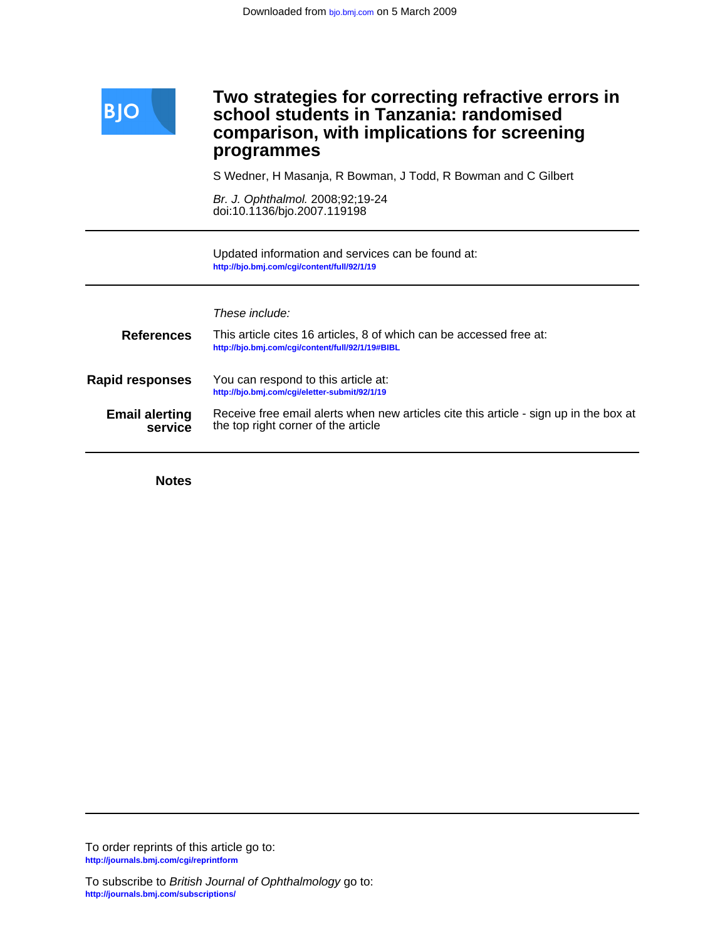

## Ī **programmes comparison, with implications for screening school students in Tanzania: randomised Two strategies for correcting refractive errors in**

S Wedner, H Masanja, R Bowman, J Todd, R Bowman and C Gilbert

doi:10.1136/bjo.2007.119198 Br. J. Ophthalmol. 2008;92;19-24

**<http://bjo.bmj.com/cgi/content/full/92/1/19>** Updated information and services can be found at:

|                                  | These include:                                                                                                               |
|----------------------------------|------------------------------------------------------------------------------------------------------------------------------|
| <b>References</b>                | This article cites 16 articles, 8 of which can be accessed free at:<br>http://bjo.bmj.com/cgi/content/full/92/1/19#BIBL      |
| <b>Rapid responses</b>           | You can respond to this article at:<br>http://bjo.bmj.com/cgi/eletter-submit/92/1/19                                         |
| <b>Email alerting</b><br>service | Receive free email alerts when new articles cite this article - sign up in the box at<br>the top right corner of the article |

**Notes**

**<http://journals.bmj.com/cgi/reprintform>** To order reprints of this article go to: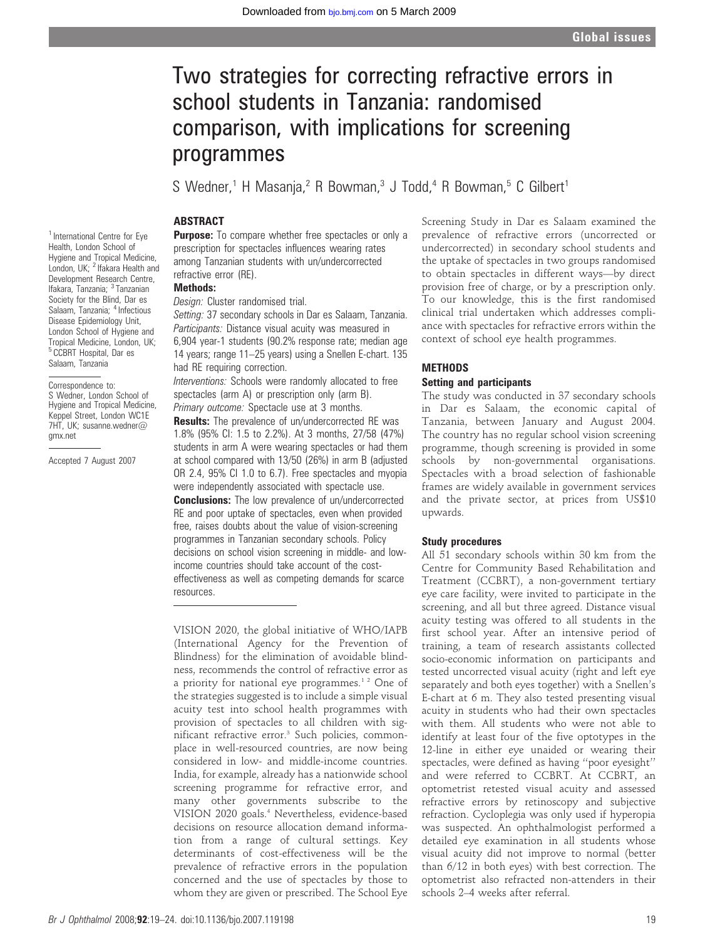# Two strategies for correcting refractive errors in school students in Tanzania: randomised comparison, with implications for screening programmes

S Wedner,<sup>1</sup> H Masania,<sup>2</sup> R Bowman,<sup>3</sup> J Todd,<sup>4</sup> R Bowman,<sup>5</sup> C Gilbert<sup>1</sup>

## ABSTRACT

**Purpose:** To compare whether free spectacles or only a prescription for spectacles influences wearing rates among Tanzanian students with un/undercorrected refractive error (RE).

## Methods:

Design: Cluster randomised trial.

Setting: 37 secondary schools in Dar es Salaam, Tanzania. Participants: Distance visual acuity was measured in 6,904 year-1 students (90.2% response rate; median age 14 years; range 11–25 years) using a Snellen E-chart. 135 had RE requiring correction.

Interventions: Schools were randomly allocated to free spectacles (arm A) or prescription only (arm B). Primary outcome: Spectacle use at 3 months.

**Results:** The prevalence of un/undercorrected RE was 1.8% (95% CI: 1.5 to 2.2%). At 3 months, 27/58 (47%) students in arm A were wearing spectacles or had them at school compared with 13/50 (26%) in arm B (adjusted OR 2.4, 95% CI 1.0 to 6.7). Free spectacles and myopia were independently associated with spectacle use. **Conclusions:** The low prevalence of un/undercorrected RE and poor uptake of spectacles, even when provided free, raises doubts about the value of vision-screening programmes in Tanzanian secondary schools. Policy decisions on school vision screening in middle- and lowincome countries should take account of the costeffectiveness as well as competing demands for scarce resources.

VISION 2020, the global initiative of WHO/IAPB (International Agency for the Prevention of Blindness) for the elimination of avoidable blindness, recommends the control of refractive error as a priority for national eye programmes.<sup>12</sup> One of the strategies suggested is to include a simple visual acuity test into school health programmes with provision of spectacles to all children with significant refractive error.<sup>3</sup> Such policies, commonplace in well-resourced countries, are now being considered in low- and middle-income countries. India, for example, already has a nationwide school screening programme for refractive error, and many other governments subscribe to the VISION 2020 goals.<sup>4</sup> Nevertheless, evidence-based decisions on resource allocation demand information from a range of cultural settings. Key determinants of cost-effectiveness will be the prevalence of refractive errors in the population concerned and the use of spectacles by those to whom they are given or prescribed. The School Eye

Screening Study in Dar es Salaam examined the prevalence of refractive errors (uncorrected or undercorrected) in secondary school students and the uptake of spectacles in two groups randomised to obtain spectacles in different ways—by direct provision free of charge, or by a prescription only. To our knowledge, this is the first randomised clinical trial undertaken which addresses compliance with spectacles for refractive errors within the context of school eye health programmes.

#### **METHODS**

#### Setting and participants

The study was conducted in 37 secondary schools in Dar es Salaam, the economic capital of Tanzania, between January and August 2004. The country has no regular school vision screening programme, though screening is provided in some schools by non-governmental organisations. Spectacles with a broad selection of fashionable frames are widely available in government services and the private sector, at prices from US\$10 upwards.

#### Study procedures

All 51 secondary schools within 30 km from the Centre for Community Based Rehabilitation and Treatment (CCBRT), a non-government tertiary eye care facility, were invited to participate in the screening, and all but three agreed. Distance visual acuity testing was offered to all students in the first school year. After an intensive period of training, a team of research assistants collected socio-economic information on participants and tested uncorrected visual acuity (right and left eye separately and both eyes together) with a Snellen's E-chart at 6 m. They also tested presenting visual acuity in students who had their own spectacles with them. All students who were not able to identify at least four of the five optotypes in the 12-line in either eye unaided or wearing their spectacles, were defined as having ''poor eyesight'' and were referred to CCBRT. At CCBRT, an optometrist retested visual acuity and assessed refractive errors by retinoscopy and subjective refraction. Cycloplegia was only used if hyperopia was suspected. An ophthalmologist performed a detailed eye examination in all students whose visual acuity did not improve to normal (better than 6/12 in both eyes) with best correction. The optometrist also refracted non-attenders in their schools 2–4 weeks after referral.

<sup>1</sup> International Centre for Eve Health, London School of Hygiene and Tropical Medicine, London, UK; <sup>2</sup> Ifakara Health and Development Research Centre, Ifakara, Tanzania; <sup>3</sup> Tanzanian Society for the Blind, Dar es Salaam, Tanzania; <sup>4</sup> Infectious Disease Epidemiology Unit, London School of Hygiene and Tropical Medicine, London, UK; <sup>5</sup> CCBRT Hospital, Dar es Salaam, Tanzania

Correspondence to: S Wedner, London School of Hygiene and Tropical Medicine, Keppel Street, London WC1E 7HT, UK; susanne.wedner@ gmx.net

Accepted 7 August 2007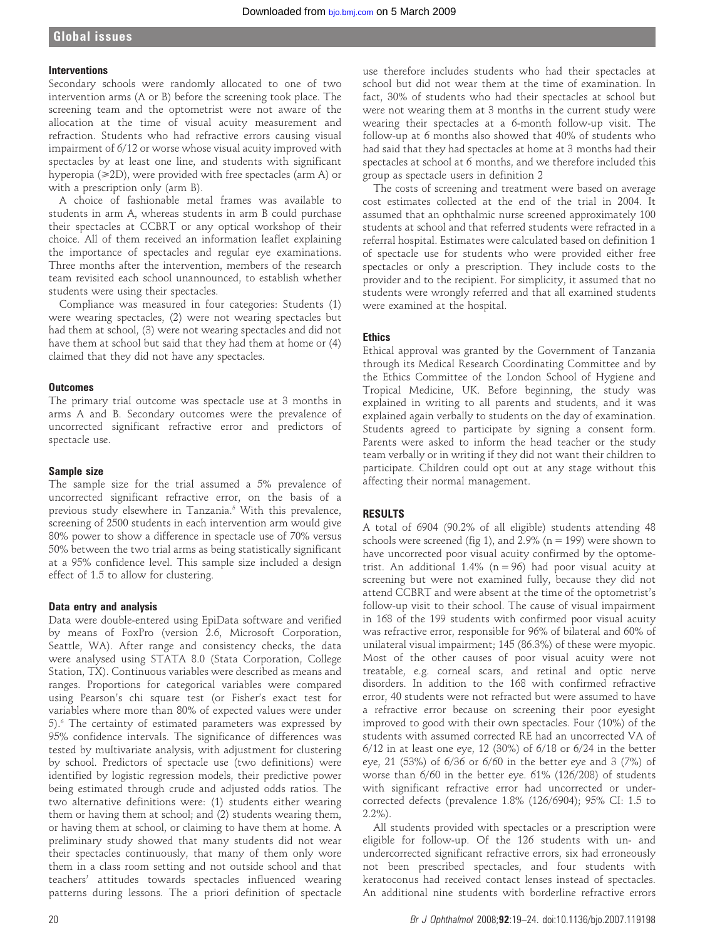#### **Interventions**

Secondary schools were randomly allocated to one of two intervention arms (A or B) before the screening took place. The screening team and the optometrist were not aware of the allocation at the time of visual acuity measurement and refraction. Students who had refractive errors causing visual impairment of 6/12 or worse whose visual acuity improved with spectacles by at least one line, and students with significant hyperopia  $(\geq 2D)$ , were provided with free spectacles (arm A) or with a prescription only (arm B).

A choice of fashionable metal frames was available to students in arm A, whereas students in arm B could purchase their spectacles at CCBRT or any optical workshop of their choice. All of them received an information leaflet explaining the importance of spectacles and regular eye examinations. Three months after the intervention, members of the research team revisited each school unannounced, to establish whether students were using their spectacles.

Compliance was measured in four categories: Students (1) were wearing spectacles, (2) were not wearing spectacles but had them at school, (3) were not wearing spectacles and did not have them at school but said that they had them at home or (4) claimed that they did not have any spectacles.

#### **Outcomes**

The primary trial outcome was spectacle use at 3 months in arms A and B. Secondary outcomes were the prevalence of uncorrected significant refractive error and predictors of spectacle use.

## Sample size

The sample size for the trial assumed a 5% prevalence of uncorrected significant refractive error, on the basis of a previous study elsewhere in Tanzania.<sup>5</sup> With this prevalence, screening of 2500 students in each intervention arm would give 80% power to show a difference in spectacle use of 70% versus 50% between the two trial arms as being statistically significant at a 95% confidence level. This sample size included a design effect of 1.5 to allow for clustering.

#### Data entry and analysis

Data were double-entered using EpiData software and verified by means of FoxPro (version 2.6, Microsoft Corporation, Seattle, WA). After range and consistency checks, the data were analysed using STATA 8.0 (Stata Corporation, College Station, TX). Continuous variables were described as means and ranges. Proportions for categorical variables were compared using Pearson's chi square test (or Fisher's exact test for variables where more than 80% of expected values were under 5).6 The certainty of estimated parameters was expressed by 95% confidence intervals. The significance of differences was tested by multivariate analysis, with adjustment for clustering by school. Predictors of spectacle use (two definitions) were identified by logistic regression models, their predictive power being estimated through crude and adjusted odds ratios. The two alternative definitions were: (1) students either wearing them or having them at school; and (2) students wearing them, or having them at school, or claiming to have them at home. A preliminary study showed that many students did not wear their spectacles continuously, that many of them only wore them in a class room setting and not outside school and that teachers' attitudes towards spectacles influenced wearing patterns during lessons. The a priori definition of spectacle

use therefore includes students who had their spectacles at school but did not wear them at the time of examination. In fact, 30% of students who had their spectacles at school but were not wearing them at 3 months in the current study were wearing their spectacles at a 6-month follow-up visit. The follow-up at 6 months also showed that 40% of students who had said that they had spectacles at home at 3 months had their spectacles at school at 6 months, and we therefore included this group as spectacle users in definition 2

The costs of screening and treatment were based on average cost estimates collected at the end of the trial in 2004. It assumed that an ophthalmic nurse screened approximately 100 students at school and that referred students were refracted in a referral hospital. Estimates were calculated based on definition 1 of spectacle use for students who were provided either free spectacles or only a prescription. They include costs to the provider and to the recipient. For simplicity, it assumed that no students were wrongly referred and that all examined students were examined at the hospital.

## **Ethics**

Ethical approval was granted by the Government of Tanzania through its Medical Research Coordinating Committee and by the Ethics Committee of the London School of Hygiene and Tropical Medicine, UK. Before beginning, the study was explained in writing to all parents and students, and it was explained again verbally to students on the day of examination. Students agreed to participate by signing a consent form. Parents were asked to inform the head teacher or the study team verbally or in writing if they did not want their children to participate. Children could opt out at any stage without this affecting their normal management.

#### RESULTS

A total of 6904 (90.2% of all eligible) students attending 48 schools were screened (fig 1), and  $2.9\%$  (n = 199) were shown to have uncorrected poor visual acuity confirmed by the optometrist. An additional 1.4% ( $n = 96$ ) had poor visual acuity at screening but were not examined fully, because they did not attend CCBRT and were absent at the time of the optometrist's follow-up visit to their school. The cause of visual impairment in 168 of the 199 students with confirmed poor visual acuity was refractive error, responsible for 96% of bilateral and 60% of unilateral visual impairment; 145 (86.3%) of these were myopic. Most of the other causes of poor visual acuity were not treatable, e.g. corneal scars, and retinal and optic nerve disorders. In addition to the 168 with confirmed refractive error, 40 students were not refracted but were assumed to have a refractive error because on screening their poor eyesight improved to good with their own spectacles. Four (10%) of the students with assumed corrected RE had an uncorrected VA of 6/12 in at least one eye, 12 (30%) of 6/18 or 6/24 in the better eye, 21 (53%) of 6/36 or 6/60 in the better eye and 3 (7%) of worse than 6/60 in the better eye. 61% (126/208) of students with significant refractive error had uncorrected or undercorrected defects (prevalence 1.8% (126/6904); 95% CI: 1.5 to 2.2%).

All students provided with spectacles or a prescription were eligible for follow-up. Of the 126 students with un- and undercorrected significant refractive errors, six had erroneously not been prescribed spectacles, and four students with keratoconus had received contact lenses instead of spectacles. An additional nine students with borderline refractive errors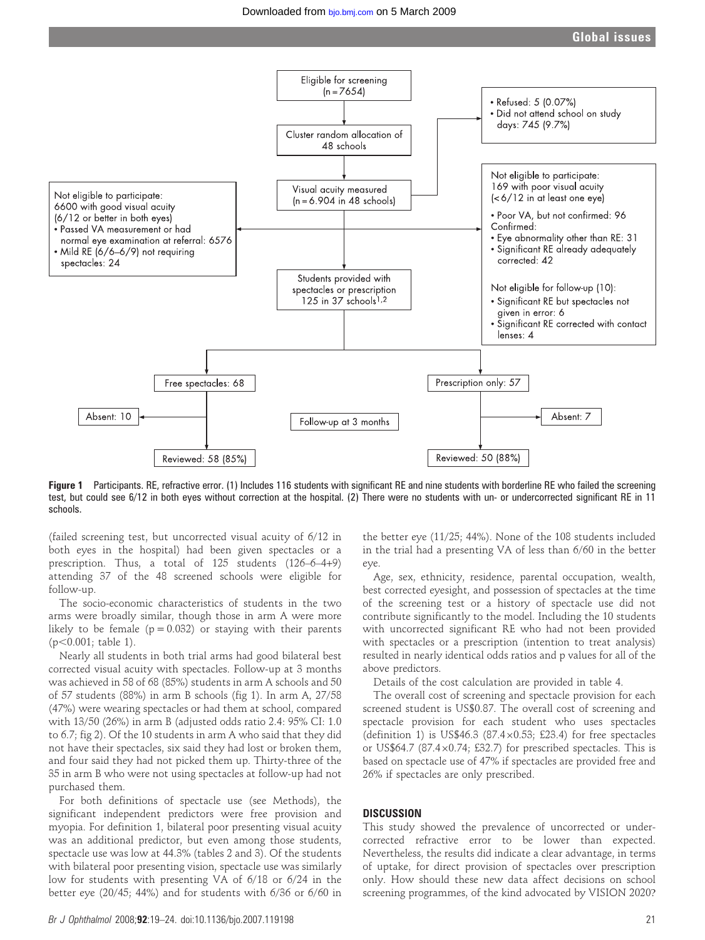Global issues



Figure 1 Participants. RE, refractive error. (1) Includes 116 students with significant RE and nine students with borderline RE who failed the screening test, but could see 6/12 in both eyes without correction at the hospital. (2) There were no students with un- or undercorrected significant RE in 11 schools.

(failed screening test, but uncorrected visual acuity of 6/12 in both eyes in the hospital) had been given spectacles or a prescription. Thus, a total of 125 students (126–6–4+9) attending 37 of the 48 screened schools were eligible for follow-up.

The socio-economic characteristics of students in the two arms were broadly similar, though those in arm A were more likely to be female ( $p = 0.032$ ) or staying with their parents  $(p<0.001$ : table 1).

Nearly all students in both trial arms had good bilateral best corrected visual acuity with spectacles. Follow-up at 3 months was achieved in 58 of 68 (85%) students in arm A schools and 50 of 57 students (88%) in arm B schools (fig 1). In arm A, 27/58 (47%) were wearing spectacles or had them at school, compared with 13/50 (26%) in arm B (adjusted odds ratio 2.4: 95% CI: 1.0 to 6.7; fig 2). Of the 10 students in arm A who said that they did not have their spectacles, six said they had lost or broken them, and four said they had not picked them up. Thirty-three of the 35 in arm B who were not using spectacles at follow-up had not purchased them.

For both definitions of spectacle use (see Methods), the significant independent predictors were free provision and myopia. For definition 1, bilateral poor presenting visual acuity was an additional predictor, but even among those students, spectacle use was low at 44.3% (tables 2 and 3). Of the students with bilateral poor presenting vision, spectacle use was similarly low for students with presenting VA of 6/18 or 6/24 in the better eye (20/45; 44%) and for students with 6/36 or 6/60 in

the better eye (11/25; 44%). None of the 108 students included in the trial had a presenting VA of less than 6/60 in the better eye.

Age, sex, ethnicity, residence, parental occupation, wealth, best corrected eyesight, and possession of spectacles at the time of the screening test or a history of spectacle use did not contribute significantly to the model. Including the 10 students with uncorrected significant RE who had not been provided with spectacles or a prescription (intention to treat analysis) resulted in nearly identical odds ratios and p values for all of the above predictors.

Details of the cost calculation are provided in table 4.

The overall cost of screening and spectacle provision for each screened student is US\$0.87. The overall cost of screening and spectacle provision for each student who uses spectacles (definition 1) is US\$46.3 (87.4 $\times$ 0.53; £23.4) for free spectacles or US\$64.7 (87.4 $\times$ 0.74; £32.7) for prescribed spectacles. This is based on spectacle use of 47% if spectacles are provided free and 26% if spectacles are only prescribed.

#### **DISCUSSION**

This study showed the prevalence of uncorrected or undercorrected refractive error to be lower than expected. Nevertheless, the results did indicate a clear advantage, in terms of uptake, for direct provision of spectacles over prescription only. How should these new data affect decisions on school screening programmes, of the kind advocated by VISION 2020?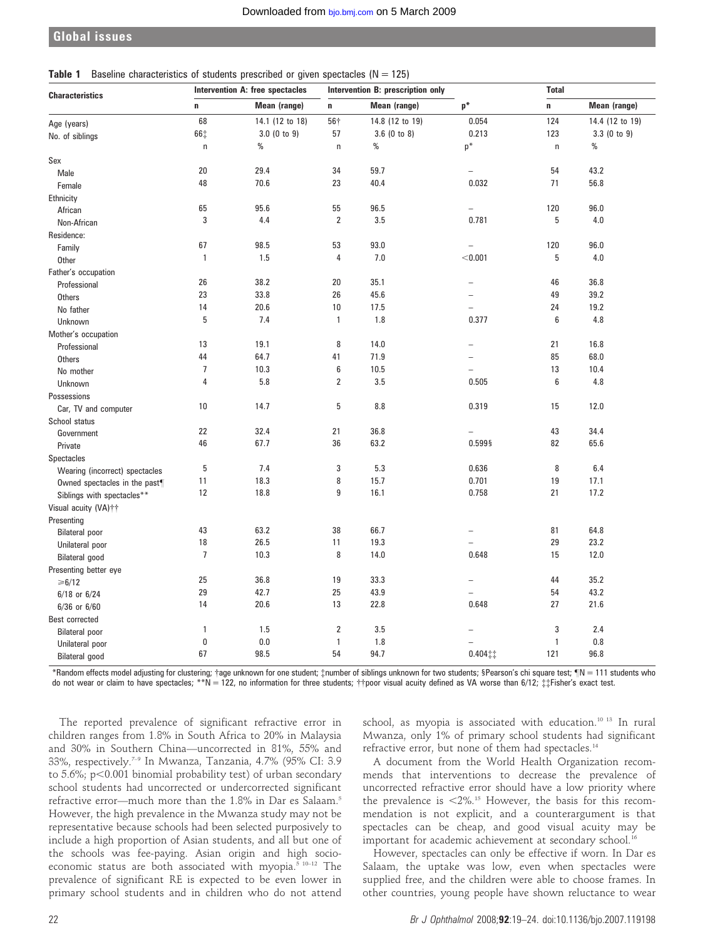## Global issues

#### **Table 1** Baseline characteristics of students prescribed or given spectacles ( $N = 125$ )

| <b>Characteristics</b>         | Intervention A: free spectacles |                 | Intervention B: prescription only |                 |                          | <b>Total</b> |                 |
|--------------------------------|---------------------------------|-----------------|-----------------------------------|-----------------|--------------------------|--------------|-----------------|
|                                | $\mathbf n$                     | Mean (range)    | n                                 | Mean (range)    | $p*$                     | n            | Mean (range)    |
| Age (years)                    | 68                              | 14.1 (12 to 18) | 56†                               | 14.8 (12 to 19) | 0.054                    | 124          | 14.4 (12 to 19) |
| No. of siblings                | 66‡                             | $3.0$ (0 to 9)  | 57                                | $3.6$ (0 to 8)  | 0.213                    | 123          | 3.3(0 to 9)     |
|                                | $\mathsf{n}$                    | $\%$            | $\sf n$                           | $\%$            | $p^*$                    | $\sf n$      | $\%$            |
| Sex                            |                                 |                 |                                   |                 |                          |              |                 |
| Male                           | 20                              | 29.4            | 34                                | 59.7            |                          | 54           | 43.2            |
| Female                         | 48                              | 70.6            | 23                                | 40.4            | 0.032                    | 71           | 56.8            |
| Ethnicity                      |                                 |                 |                                   |                 |                          |              |                 |
| African                        | 65                              | 95.6            | 55                                | 96.5            | $\overline{\phantom{0}}$ | 120          | 96.0            |
| Non-African                    | 3                               | 4.4             | $\overline{2}$                    | 3.5             | 0.781                    | 5            | 4.0             |
| Residence:                     |                                 |                 |                                   |                 |                          |              |                 |
| Family                         | 67                              | 98.5            | 53                                | 93.0            | $\overline{\phantom{0}}$ | 120          | 96.0            |
| Other                          | $\mathbf{1}$                    | 1.5             | $\overline{4}$                    | 7.0             | < 0.001                  | 5            | 4.0             |
| Father's occupation            |                                 |                 |                                   |                 |                          |              |                 |
| Professional                   | 26                              | 38.2            | 20                                | 35.1            |                          | 46           | 36.8            |
| <b>Others</b>                  | 23                              | 33.8            | 26                                | 45.6            |                          | 49           | 39.2            |
| No father                      | 14                              | 20.6            | 10                                | 17.5            | ÷                        | 24           | 19.2            |
| Unknown                        | 5                               | 7.4             | $\mathbf{1}$                      | 1.8             | 0.377                    | 6            | 4.8             |
| Mother's occupation            |                                 |                 |                                   |                 |                          |              |                 |
| Professional                   | 13                              | 19.1            | 8                                 | 14.0            |                          | 21           | 16.8            |
| <b>Others</b>                  | 44                              | 64.7            | 41                                | 71.9            |                          | 85           | 68.0            |
| No mother                      | $\overline{7}$                  | 10.3            | $\boldsymbol{6}$                  | 10.5            | $\overline{a}$           | 13           | 10.4            |
| Unknown                        | 4                               | 5.8             | $\overline{2}$                    | 3.5             | 0.505                    | 6            | 4.8             |
| Possessions                    |                                 |                 |                                   |                 |                          |              |                 |
| Car, TV and computer           | 10                              | 14.7            | 5                                 | 8.8             | 0.319                    | 15           | 12.0            |
| School status                  |                                 |                 |                                   |                 |                          |              |                 |
| Government                     | 22                              | 32.4            | 21                                | 36.8            | $\overline{\phantom{0}}$ | 43           | 34.4            |
| Private                        | 46                              | 67.7            | 36                                | 63.2            | 0.599§                   | 82           | 65.6            |
| Spectacles                     |                                 |                 |                                   |                 |                          |              |                 |
| Wearing (incorrect) spectacles | 5                               | 7.4             | 3                                 | 5.3             | 0.636                    | 8            | 6.4             |
| Owned spectacles in the past¶  | 11                              | 18.3            | 8                                 | 15.7            | 0.701                    | 19           | 17.1            |
| Siblings with spectacles**     | 12                              | 18.8            | 9                                 | 16.1            | 0.758                    | 21           | 17.2            |
| Visual acuity (VA)++           |                                 |                 |                                   |                 |                          |              |                 |
| Presenting                     |                                 |                 |                                   |                 |                          |              |                 |
| <b>Bilateral poor</b>          | 43                              | 63.2            | 38                                | 66.7            | $\overline{a}$           | 81           | 64.8            |
| Unilateral poor                | 18                              | 26.5            | 11                                | 19.3            |                          | 29           | 23.2            |
| Bilateral good                 | $\overline{7}$                  | 10.3            | 8                                 | 14.0            | 0.648                    | 15           | 12.0            |
| Presenting better eye          |                                 |                 |                                   |                 |                          |              |                 |
| ≥6/12                          | 25                              | 36.8            | 19                                | 33.3            |                          | 44           | 35.2            |
| $6/18$ or $6/24$               | 29                              | 42.7            | 25                                | 43.9            |                          | 54           | 43.2            |
| $6/36$ or $6/60$               | 14                              | 20.6            | 13                                | 22.8            | 0.648                    | 27           | 21.6            |
| Best corrected                 |                                 |                 |                                   |                 |                          |              |                 |
| <b>Bilateral</b> poor          | 1                               | 1.5             | $\overline{2}$                    | 3.5             |                          | 3            | 2.4             |
| Unilateral poor                | 0                               | 0.0             | $\mathbf{1}$                      | 1.8             |                          | $\mathbf{1}$ | 0.8             |
| <b>Bilateral</b> good          | 67                              | 98.5            | 54                                | 94.7            | $0.404$ $\ddagger$       | 121          | 96.8            |

\*Random effects model adjusting for clustering; †age unknown for one student; ‡number of siblings unknown for two students; §Pearson's chi square test; ¶N = 111 students who do not wear or claim to have spectacles; \*\*N = 122, no information for three students;  $\dagger$ poor visual acuity defined as VA worse than 6/12;  $\ddagger$  $\ddagger$  Fisher's exact test.

The reported prevalence of significant refractive error in children ranges from 1.8% in South Africa to 20% in Malaysia and 30% in Southern China—uncorrected in 81%, 55% and 33%, respectively.7–9 In Mwanza, Tanzania, 4.7% (95% CI: 3.9 to 5.6%; p $<$ 0.001 binomial probability test) of urban secondary school students had uncorrected or undercorrected significant refractive error—much more than the 1.8% in Dar es Salaam.<sup>5</sup> However, the high prevalence in the Mwanza study may not be representative because schools had been selected purposively to include a high proportion of Asian students, and all but one of the schools was fee-paying. Asian origin and high socioeconomic status are both associated with myopia. $510-12$  The prevalence of significant RE is expected to be even lower in primary school students and in children who do not attend school, as myopia is associated with education.<sup>10 13</sup> In rural Mwanza, only 1% of primary school students had significant refractive error, but none of them had spectacles.14

A document from the World Health Organization recommends that interventions to decrease the prevalence of uncorrected refractive error should have a low priority where the prevalence is  $\langle 2\% \rangle$ .<sup>15</sup> However, the basis for this recommendation is not explicit, and a counterargument is that spectacles can be cheap, and good visual acuity may be important for academic achievement at secondary school.<sup>16</sup>

However, spectacles can only be effective if worn. In Dar es Salaam, the uptake was low, even when spectacles were supplied free, and the children were able to choose frames. In other countries, young people have shown reluctance to wear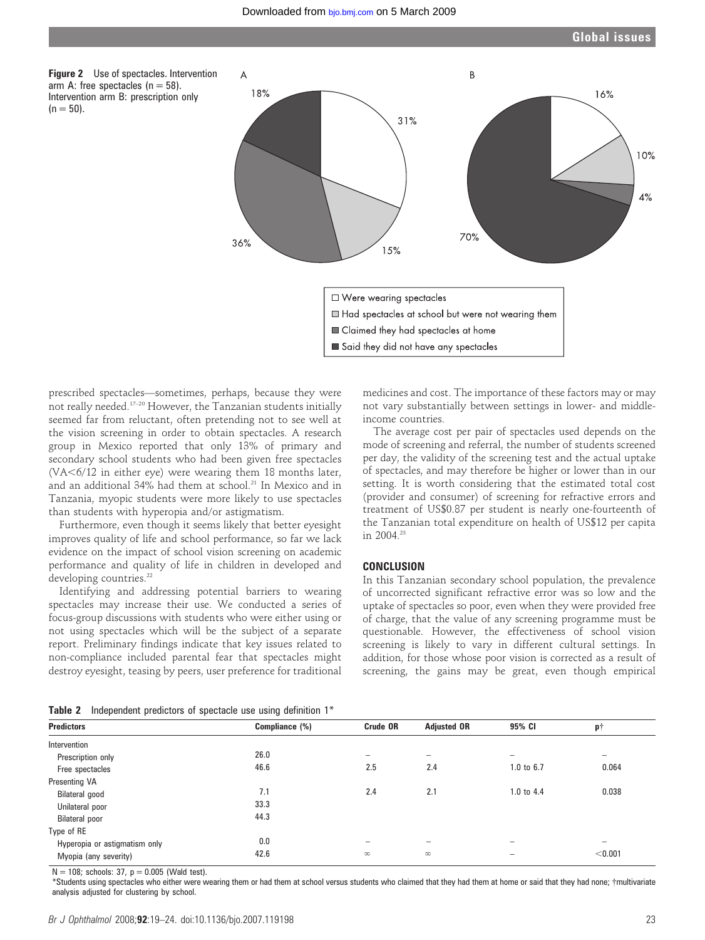

prescribed spectacles—sometimes, perhaps, because they were not really needed.17–20 However, the Tanzanian students initially seemed far from reluctant, often pretending not to see well at the vision screening in order to obtain spectacles. A research group in Mexico reported that only 13% of primary and secondary school students who had been given free spectacles  $(VA<6/12$  in either eye) were wearing them 18 months later, and an additional 34% had them at school.<sup>21</sup> In Mexico and in Tanzania, myopic students were more likely to use spectacles than students with hyperopia and/or astigmatism.

Furthermore, even though it seems likely that better eyesight improves quality of life and school performance, so far we lack evidence on the impact of school vision screening on academic performance and quality of life in children in developed and developing countries.<sup>22</sup>

Identifying and addressing potential barriers to wearing spectacles may increase their use. We conducted a series of focus-group discussions with students who were either using or not using spectacles which will be the subject of a separate report. Preliminary findings indicate that key issues related to non-compliance included parental fear that spectacles might destroy eyesight, teasing by peers, user preference for traditional

medicines and cost. The importance of these factors may or may not vary substantially between settings in lower- and middleincome countries.

The average cost per pair of spectacles used depends on the mode of screening and referral, the number of students screened per day, the validity of the screening test and the actual uptake of spectacles, and may therefore be higher or lower than in our setting. It is worth considering that the estimated total cost (provider and consumer) of screening for refractive errors and treatment of US\$0.87 per student is nearly one-fourteenth of the Tanzanian total expenditure on health of US\$12 per capita in  $2004^{23}$ 

## **CONCLUSION**

In this Tanzanian secondary school population, the prevalence of uncorrected significant refractive error was so low and the uptake of spectacles so poor, even when they were provided free of charge, that the value of any screening programme must be questionable. However, the effectiveness of school vision screening is likely to vary in different cultural settings. In addition, for those whose poor vision is corrected as a result of screening, the gains may be great, even though empirical

**Table 2** Independent predictors of spectacle use using definition  $1^*$ 

| <b>rapid 2</b> independent predictors or spectacle use using aeminion in |          |                          |            |                          |
|--------------------------------------------------------------------------|----------|--------------------------|------------|--------------------------|
| Compliance (%)                                                           | Crude OR | <b>Adjusted OR</b>       | 95% CI     | ΡŤ                       |
|                                                                          |          |                          |            |                          |
| 26.0                                                                     | -        | $\overline{\phantom{a}}$ | -          | $\overline{\phantom{a}}$ |
| 46.6                                                                     | 2.5      | 2.4                      | 1.0 to 6.7 | 0.064                    |
|                                                                          |          |                          |            |                          |
| 7.1                                                                      | 2.4      | 2.1                      | 1.0 to 4.4 | 0.038                    |
| 33.3                                                                     |          |                          |            |                          |
| 44.3                                                                     |          |                          |            |                          |
|                                                                          |          |                          |            |                          |
| 0.0                                                                      |          |                          |            | $\overline{\phantom{0}}$ |
| 42.6                                                                     | $\infty$ | $\infty$                 |            | < 0.001                  |
|                                                                          |          |                          |            |                          |

 $N = 108$ ; schools: 37,  $p = 0.005$  (Wald test).

\*Students using spectacles who either were wearing them or had them at school versus students who claimed that they had them at home or said that they had none; {multivariate analysis adjusted for clustering by school.